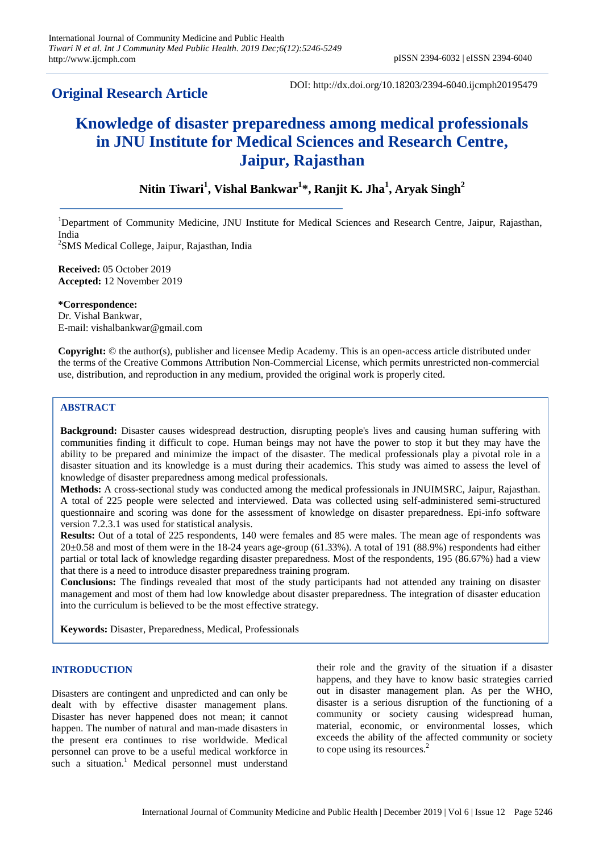## **Original Research Article**

DOI: http://dx.doi.org/10.18203/2394-6040.ijcmph20195479

## **Knowledge of disaster preparedness among medical professionals in JNU Institute for Medical Sciences and Research Centre, Jaipur, Rajasthan**

### **Nitin Tiwari<sup>1</sup> , Vishal Bankwar<sup>1</sup> \*, Ranjit K. Jha<sup>1</sup> , Aryak Singh<sup>2</sup>**

<sup>1</sup>Department of Community Medicine, JNU Institute for Medical Sciences and Research Centre, Jaipur, Rajasthan, India

<sup>2</sup>SMS Medical College, Jaipur, Rajasthan, India

**Received:** 05 October 2019 **Accepted:** 12 November 2019

**\*Correspondence:** Dr. Vishal Bankwar, E-mail: vishalbankwar@gmail.com

**Copyright:** © the author(s), publisher and licensee Medip Academy. This is an open-access article distributed under the terms of the Creative Commons Attribution Non-Commercial License, which permits unrestricted non-commercial use, distribution, and reproduction in any medium, provided the original work is properly cited.

#### **ABSTRACT**

**Background:** Disaster causes widespread destruction, disrupting people's lives and causing human suffering with communities finding it difficult to cope. Human beings may not have the power to stop it but they may have the ability to be prepared and minimize the impact of the disaster. The medical professionals play a pivotal role in a disaster situation and its knowledge is a must during their academics. This study was aimed to assess the level of knowledge of disaster preparedness among medical professionals.

**Methods:** A cross-sectional study was conducted among the medical professionals in JNUIMSRC, Jaipur, Rajasthan. A total of 225 people were selected and interviewed. Data was collected using self-administered semi-structured questionnaire and scoring was done for the assessment of knowledge on disaster preparedness. Epi-info software version 7.2.3.1 was used for statistical analysis.

**Results:** Out of a total of 225 respondents, 140 were females and 85 were males. The mean age of respondents was  $20\pm0.58$  and most of them were in the 18-24 years age-group (61.33%). A total of 191 (88.9%) respondents had either partial or total lack of knowledge regarding disaster preparedness. Most of the respondents, 195 (86.67%) had a view that there is a need to introduce disaster preparedness training program.

**Conclusions:** The findings revealed that most of the study participants had not attended any training on disaster management and most of them had low knowledge about disaster preparedness. The integration of disaster education into the curriculum is believed to be the most effective strategy.

**Keywords:** Disaster, Preparedness, Medical, Professionals

#### **INTRODUCTION**

Disasters are contingent and unpredicted and can only be dealt with by effective disaster management plans. Disaster has never happened does not mean; it cannot happen. The number of natural and man-made disasters in the present era continues to rise worldwide. Medical personnel can prove to be a useful medical workforce in such a situation.<sup>1</sup> Medical personnel must understand

their role and the gravity of the situation if a disaster happens, and they have to know basic strategies carried out in disaster management plan. As per the WHO, disaster is a serious disruption of the functioning of a community or society causing widespread human, material, economic, or environmental losses, which exceeds the ability of the affected community or society to cope using its resources.<sup>2</sup>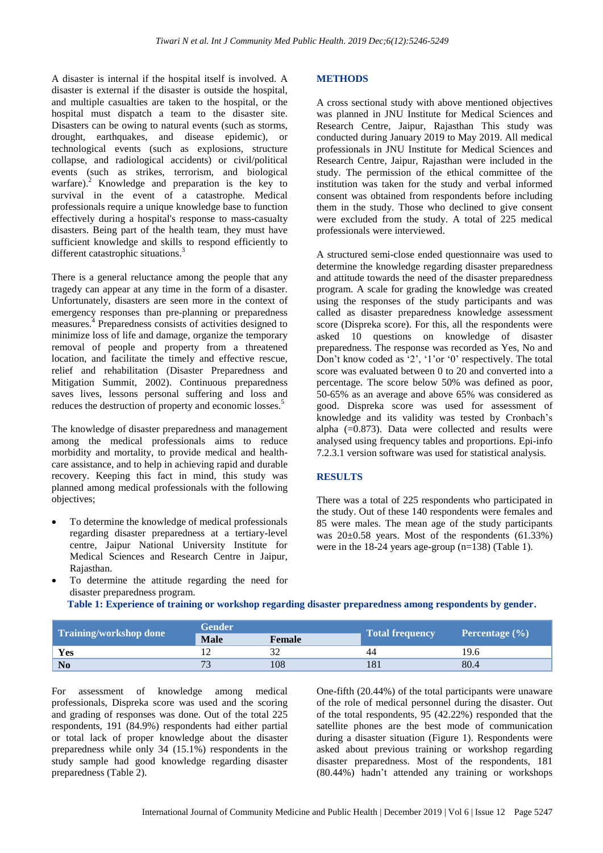A disaster is internal if the hospital itself is involved. A disaster is external if the disaster is outside the hospital, and multiple casualties are taken to the hospital, or the hospital must dispatch a team to the disaster site. Disasters can be owing to natural events (such as storms, drought, earthquakes, and disease epidemic), or technological events (such as explosions, structure collapse, and radiological accidents) or civil/political events (such as strikes, terrorism, and biological warfare). $^2$  Knowledge and preparation is the key to survival in the event of a catastrophe. Medical professionals require a unique knowledge base to function effectively during a hospital's response to mass-casualty disasters. Being part of the health team, they must have sufficient knowledge and skills to respond efficiently to different catastrophic situations.<sup>3</sup>

There is a general reluctance among the people that any tragedy can appear at any time in the form of a disaster. Unfortunately, disasters are seen more in the context of emergency responses than pre-planning or preparedness measures.<sup>4</sup> Preparedness consists of activities designed to minimize loss of life and damage, organize the temporary removal of people and property from a threatened location, and facilitate the timely and effective rescue, relief and rehabilitation (Disaster Preparedness and Mitigation Summit, 2002). Continuous preparedness saves lives, lessons personal suffering and loss and reduces the destruction of property and economic losses.<sup>5</sup>

The knowledge of disaster preparedness and management among the medical professionals aims to reduce morbidity and mortality, to provide medical and healthcare assistance, and to help in achieving rapid and durable recovery. Keeping this fact in mind, this study was planned among medical professionals with the following objectives;

 To determine the knowledge of medical professionals regarding disaster preparedness at a tertiary-level centre, Jaipur National University Institute for Medical Sciences and Research Centre in Jaipur, Rajasthan.

# **METHODS**

A cross sectional study with above mentioned objectives was planned in JNU Institute for Medical Sciences and Research Centre, Jaipur, Rajasthan This study was conducted during January 2019 to May 2019. All medical professionals in JNU Institute for Medical Sciences and Research Centre, Jaipur, Rajasthan were included in the study. The permission of the ethical committee of the institution was taken for the study and verbal informed consent was obtained from respondents before including them in the study. Those who declined to give consent were excluded from the study. A total of 225 medical professionals were interviewed.

A structured semi-close ended questionnaire was used to determine the knowledge regarding disaster preparedness and attitude towards the need of the disaster preparedness program. A scale for grading the knowledge was created using the responses of the study participants and was called as disaster preparedness knowledge assessment score (Dispreka score). For this, all the respondents were asked 10 questions on knowledge of disaster preparedness. The response was recorded as Yes, No and Don't know coded as '2', '1'or '0' respectively. The total score was evaluated between 0 to 20 and converted into a percentage. The score below 50% was defined as poor, 50-65% as an average and above 65% was considered as good. Dispreka score was used for assessment of knowledge and its validity was tested by Cronbach's alpha  $(=0.873)$ . Data were collected and results were analysed using frequency tables and proportions. Epi-info 7.2.3.1 version software was used for statistical analysis.

#### **RESULTS**

There was a total of 225 respondents who participated in the study. Out of these 140 respondents were females and 85 were males. The mean age of the study participants was 20±0.58 years. Most of the respondents (61.33%) were in the 18-24 years age-group (n=138) (Table 1).

 To determine the attitude regarding the need for disaster preparedness program.

**Table 1: Experience of training or workshop regarding disaster preparedness among respondents by gender.**

| Training/workshop done | <b>Gender</b>            |               |                        |                    |  |
|------------------------|--------------------------|---------------|------------------------|--------------------|--|
|                        | <b>Male</b>              | <b>Female</b> | <b>Total frequency</b> | Percentage $(\% )$ |  |
| Yes                    |                          |               |                        | 19.6               |  |
| No                     | $\overline{\phantom{a}}$ | 108           | 81                     | 80.4               |  |

For assessment of knowledge among medical professionals, Dispreka score was used and the scoring and grading of responses was done. Out of the total 225 respondents, 191 (84.9%) respondents had either partial or total lack of proper knowledge about the disaster preparedness while only 34 (15.1%) respondents in the study sample had good knowledge regarding disaster preparedness (Table 2).

One-fifth (20.44%) of the total participants were unaware of the role of medical personnel during the disaster. Out of the total respondents, 95 (42.22%) responded that the satellite phones are the best mode of communication during a disaster situation (Figure 1). Respondents were asked about previous training or workshop regarding disaster preparedness. Most of the respondents, 181 (80.44%) hadn't attended any training or workshops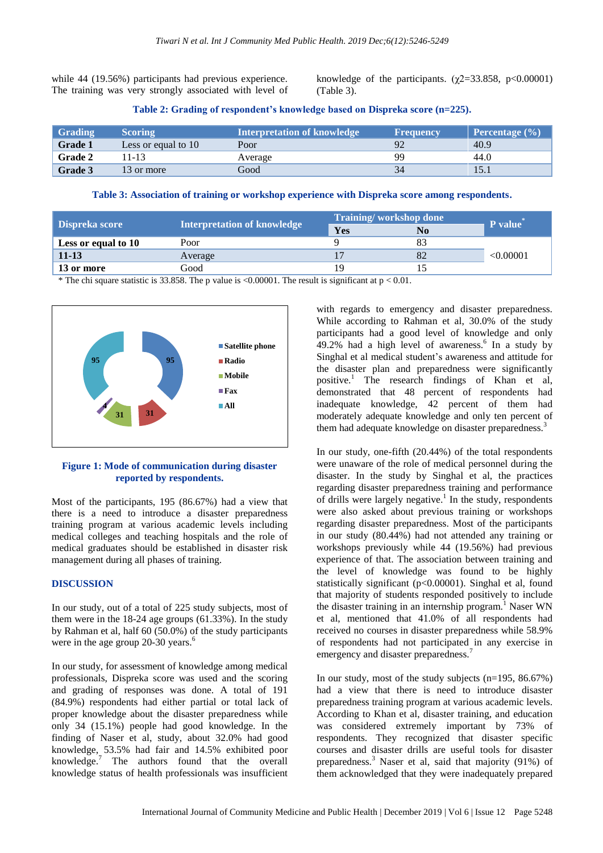while 44 (19.56%) participants had previous experience. The training was very strongly associated with level of knowledge of the participants. ( $\chi$ 2=33.858, p<0.00001) (Table 3).

|  |  |  | Table 2: Grading of respondent's knowledge based on Dispreka score (n=225). |  |
|--|--|--|-----------------------------------------------------------------------------|--|
|  |  |  |                                                                             |  |

| Grading        | <b>Scoring</b>      | <b>Interpretation of knowledge</b> | <b>Frequency</b> | Percentage $(\% )$ |
|----------------|---------------------|------------------------------------|------------------|--------------------|
| <b>Grade 1</b> | Less or equal to 10 | Poor                               |                  | 40.9               |
| <b>Grade 2</b> | 11-13               | Average                            | QQ               | 44.0               |
| <b>Grade 3</b> | 13 or more          | Good                               | 34               |                    |

**Table 3: Association of training or workshop experience with Dispreka score among respondents.**

| Dispreka score      |                                    | Training/workshop done |    | P value   |
|---------------------|------------------------------------|------------------------|----|-----------|
|                     | <b>Interpretation of knowledge</b> | Yes                    | No |           |
| Less or equal to 10 | Poor                               |                        |    |           |
| $11 - 13$           | Average                            |                        |    | < 0.00001 |
| 13 or more          | Good                               | 1 Q                    |    |           |

\* The chi square statistic is 33.858. The p value is  $\langle 0.00001$ . The result is significant at p  $\langle 0.01$ .



#### **Figure 1: Mode of communication during disaster reported by respondents.**

Most of the participants, 195 (86.67%) had a view that there is a need to introduce a disaster preparedness training program at various academic levels including medical colleges and teaching hospitals and the role of medical graduates should be established in disaster risk management during all phases of training.

#### **DISCUSSION**

In our study, out of a total of 225 study subjects, most of them were in the 18-24 age groups (61.33%). In the study by Rahman et al, half 60 (50.0%) of the study participants were in the age group 20-30 years.<sup>6</sup>

In our study, for assessment of knowledge among medical professionals, Dispreka score was used and the scoring and grading of responses was done. A total of 191 (84.9%) respondents had either partial or total lack of proper knowledge about the disaster preparedness while only 34 (15.1%) people had good knowledge. In the finding of Naser et al, study, about 32.0% had good knowledge, 53.5% had fair and 14.5% exhibited poor knowledge.<sup>7</sup> The authors found that the overall knowledge status of health professionals was insufficient

with regards to emergency and disaster preparedness. While according to Rahman et al, 30.0% of the study participants had a good level of knowledge and only  $49.2\%$  had a high level of awareness.<sup>6</sup> In a study by Singhal et al medical student's awareness and attitude for the disaster plan and preparedness were significantly positive.<sup>1</sup> The research findings of Khan et al, demonstrated that 48 percent of respondents had inadequate knowledge, 42 percent of them had moderately adequate knowledge and only ten percent of them had adequate knowledge on disaster preparedness.<sup>3</sup>

In our study, one-fifth (20.44%) of the total respondents were unaware of the role of medical personnel during the disaster. In the study by Singhal et al, the practices regarding disaster preparedness training and performance of drills were largely negative.<sup>1</sup> In the study, respondents were also asked about previous training or workshops regarding disaster preparedness. Most of the participants in our study (80.44%) had not attended any training or workshops previously while 44 (19.56%) had previous experience of that. The association between training and the level of knowledge was found to be highly statistically significant (p<0.00001). Singhal et al, found that majority of students responded positively to include the disaster training in an internship program.<sup>1</sup> Naser WN et al, mentioned that 41.0% of all respondents had received no courses in disaster preparedness while 58.9% of respondents had not participated in any exercise in emergency and disaster preparedness.<sup>7</sup>

In our study, most of the study subjects (n=195, 86.67%) had a view that there is need to introduce disaster preparedness training program at various academic levels. According to Khan et al, disaster training, and education was considered extremely important by 73% of respondents. They recognized that disaster specific courses and disaster drills are useful tools for disaster preparedness.<sup>3</sup> Naser et al, said that majority (91%) of them acknowledged that they were inadequately prepared